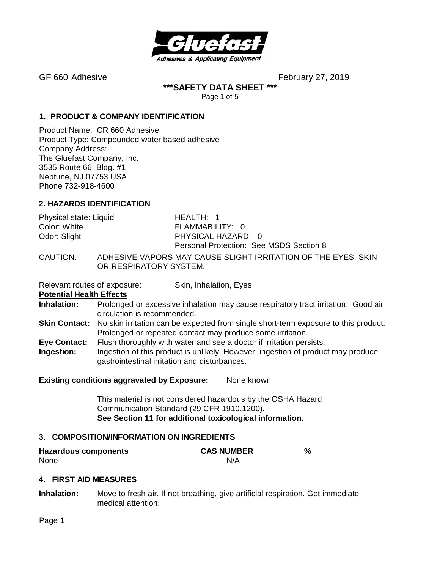

**\*\*\*SAFETY DATA SHEET \*\*\***

Page 1 of 5

### **1. PRODUCT & COMPANY IDENTIFICATION**

Product Name: CR 660 Adhesive Product Type: Compounded water based adhesive Company Address: The Gluefast Company, Inc. 3535 Route 66, Bldg. #1 Neptune, NJ 07753 USA Phone 732-918-4600

### **2. HAZARDS IDENTIFICATION**

| Physical state: Liquid | HEALTH: 1                                                     |
|------------------------|---------------------------------------------------------------|
| Color: White           | FLAMMABILITY: 0                                               |
| Odor: Slight           | PHYSICAL HAZARD: 0                                            |
|                        | <b>Personal Protection: See MSDS Section 8</b>                |
| CAUTION:               | ADHESIVE VAPORS MAY CAUSE SLIGHT IRRITATION OF THE EYES, SKIN |

OR RESPIRATORY SYSTEM.

Relevant routes of exposure: Skin, Inhalation, Eyes

**Potential Health Effects**

- **Inhalation:** Prolonged or excessive inhalation may cause respiratory tract irritation. Good air circulation is recommended.
- **Skin Contact:** No skin irritation can be expected from single short-term exposure to this product. Prolonged or repeated contact may produce some irritation.
- **Eye Contact:** Flush thoroughly with water and see a doctor if irritation persists.
- **Ingestion:** Ingestion of this product is unlikely. However, ingestion of product may produce gastrointestinal irritation and disturbances.

### **Existing conditions aggravated by Exposure:** None known

This material is not considered hazardous by the OSHA Hazard Communication Standard (29 CFR 1910.1200). **See Section 11 for additional toxicological information.**

### **3. COMPOSITION/INFORMATION ON INGREDIENTS**

| <b>Hazardous components</b> | <b>CAS NUMBER</b> |  |
|-----------------------------|-------------------|--|
| None                        | N/A               |  |

### **4. FIRST AID MEASURES**

**Inhalation:** Move to fresh air. If not breathing, give artificial respiration. Get immediate medical attention.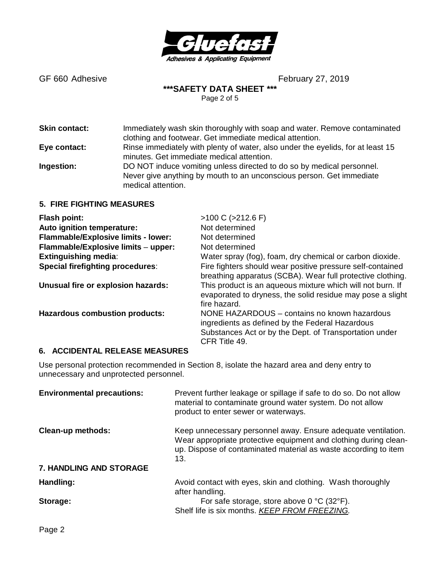

**\*\*\*SAFETY DATA SHEET \*\*\***

Page 2 of 5

**Skin contact:** Immediately wash skin thoroughly with soap and water. Remove contaminated clothing and footwear. Get immediate medical attention. **Eye contact:** Rinse immediately with plenty of water, also under the eyelids, for at least 15 minutes. Get immediate medical attention. **Ingestion:** DO NOT induce vomiting unless directed to do so by medical personnel. Never give anything by mouth to an unconscious person. Get immediate medical attention.

### **5. FIRE FIGHTING MEASURES**

| <b>Flash point:</b>                     | $>100 C$ ( $>212.6 F$ )                                                                                                                                                    |
|-----------------------------------------|----------------------------------------------------------------------------------------------------------------------------------------------------------------------------|
| Auto ignition temperature:              | Not determined                                                                                                                                                             |
| Flammable/Explosive limits - lower:     | Not determined                                                                                                                                                             |
| Flammable/Explosive limits - upper:     | Not determined                                                                                                                                                             |
| <b>Extinguishing media:</b>             | Water spray (fog), foam, dry chemical or carbon dioxide.                                                                                                                   |
| <b>Special firefighting procedures:</b> | Fire fighters should wear positive pressure self-contained<br>breathing apparatus (SCBA). Wear full protective clothing.                                                   |
| Unusual fire or explosion hazards:      | This product is an aqueous mixture which will not burn. If<br>evaporated to dryness, the solid residue may pose a slight<br>fire hazard.                                   |
| <b>Hazardous combustion products:</b>   | NONE HAZARDOUS - contains no known hazardous<br>ingredients as defined by the Federal Hazardous<br>Substances Act or by the Dept. of Transportation under<br>CFR Title 49. |

### **6. ACCIDENTAL RELEASE MEASURES**

Use personal protection recommended in Section 8, isolate the hazard area and deny entry to unnecessary and unprotected personnel.

| <b>Environmental precautions:</b> | Prevent further leakage or spillage if safe to do so. Do not allow<br>material to contaminate ground water system. Do not allow<br>product to enter sewer or waterways.                                     |
|-----------------------------------|-------------------------------------------------------------------------------------------------------------------------------------------------------------------------------------------------------------|
| <b>Clean-up methods:</b>          | Keep unnecessary personnel away. Ensure adequate ventilation.<br>Wear appropriate protective equipment and clothing during clean-<br>up. Dispose of contaminated material as waste according to item<br>13. |
| <b>7. HANDLING AND STORAGE</b>    |                                                                                                                                                                                                             |
| Handling:                         | Avoid contact with eyes, skin and clothing. Wash thoroughly<br>after handling.                                                                                                                              |
| Storage:                          | For safe storage, store above 0 °C (32°F).<br>Shelf life is six months. KEEP FROM FREEZING.                                                                                                                 |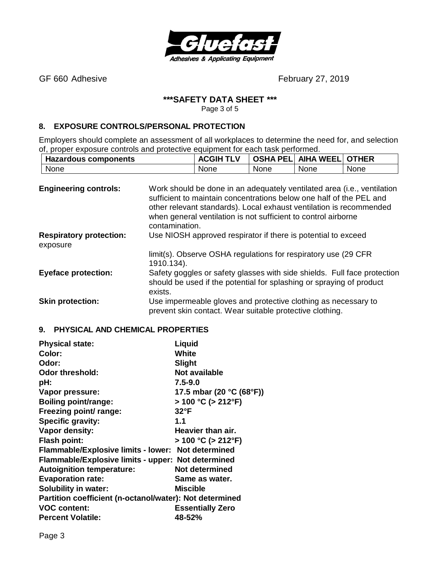

# **\*\*\*SAFETY DATA SHEET \*\*\***

Page 3 of 5

# **8. EXPOSURE CONTROLS/PERSONAL PROTECTION**

Employers should complete an assessment of all workplaces to determine the need for, and selection of, proper exposure controls and protective equipment for each task performed.

| <b>Hazardous components</b>  |                                                                                                                                                                                                                       | <b>ACGIH TLV</b> |      | <b>OSHA PEL AIHA WEEL OTHER</b> |      |
|------------------------------|-----------------------------------------------------------------------------------------------------------------------------------------------------------------------------------------------------------------------|------------------|------|---------------------------------|------|
| None                         |                                                                                                                                                                                                                       | None             | None | None                            | None |
| <b>Engineering controls:</b> | Work should be done in an adequately ventilated area (i.e., ventilation<br>sufficient to maintain concentrations below one half of the PEL and<br>other relevant standards). Local exhaust ventilation is recommended |                  |      |                                 |      |

|                                            | when general ventilation is not sufficient to control airborne<br>contamination.                                                                            |
|--------------------------------------------|-------------------------------------------------------------------------------------------------------------------------------------------------------------|
| <b>Respiratory protection:</b><br>exposure | Use NIOSH approved respirator if there is potential to exceed                                                                                               |
|                                            | limit(s). Observe OSHA regulations for respiratory use (29 CFR<br>1910.134).                                                                                |
| <b>Eyeface protection:</b>                 | Safety goggles or safety glasses with side shields. Full face protection<br>should be used if the potential for splashing or spraying of product<br>exists. |
| <b>Skin protection:</b>                    | Use impermeable gloves and protective clothing as necessary to<br>prevent skin contact. Wear suitable protective clothing.                                  |

### **9. PHYSICAL AND CHEMICAL PROPERTIES**

| <b>Physical state:</b>                                  | Liquid                    |
|---------------------------------------------------------|---------------------------|
| Color:                                                  | White                     |
| Odor:                                                   | Slight                    |
| <b>Odor threshold:</b>                                  | <b>Not available</b>      |
| pH:                                                     | $7.5 - 9.0$               |
| Vapor pressure:                                         | 17.5 mbar (20 °C (68°F))  |
| <b>Boiling point/range:</b>                             | $> 100 °C$ ( $> 212 °F$ ) |
| Freezing point/ range:                                  | $32^{\circ}F$             |
| <b>Specific gravity:</b>                                | 1.1                       |
| Vapor density:                                          | Heavier than air.         |
| <b>Flash point:</b>                                     | $> 100 °C$ ( $> 212 °F$ ) |
| Flammable/Explosive limits - lower: Not determined      |                           |
| Flammable/Explosive limits - upper: Not determined      |                           |
| <b>Autoignition temperature:</b>                        | Not determined            |
| <b>Evaporation rate:</b>                                | Same as water.            |
| <b>Solubility in water:</b>                             | Miscible                  |
| Partition coefficient (n-octanol/water): Not determined |                           |
| <b>VOC content:</b>                                     | <b>Essentially Zero</b>   |
| <b>Percent Volatile:</b>                                | 48-52%                    |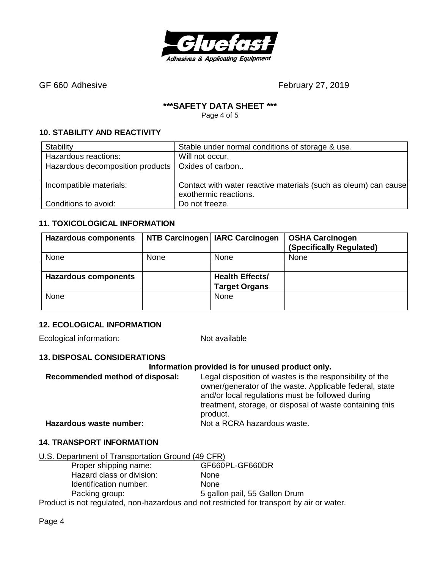

# **\*\*\*SAFETY DATA SHEET \*\*\***

Page 4 of 5

# **10. STABILITY AND REACTIVITY**

| Stability                                           | Stable under normal conditions of storage & use.                                         |
|-----------------------------------------------------|------------------------------------------------------------------------------------------|
| Hazardous reactions:                                | Will not occur.                                                                          |
| Hazardous decomposition products   Oxides of carbon |                                                                                          |
| Incompatible materials:                             | Contact with water reactive materials (such as oleum) can cause<br>exothermic reactions. |
| Conditions to avoid:                                | Do not freeze.                                                                           |

# **11. TOXICOLOGICAL INFORMATION**

| <b>Hazardous components</b> |      | NTB Carcinogen   IARC Carcinogen | <b>OSHA Carcinogen</b><br>(Specifically Regulated) |
|-----------------------------|------|----------------------------------|----------------------------------------------------|
| None                        | None | None                             | None                                               |
|                             |      |                                  |                                                    |
| <b>Hazardous components</b> |      | <b>Health Effects/</b>           |                                                    |
|                             |      | <b>Target Organs</b>             |                                                    |
| None                        |      | None                             |                                                    |
|                             |      |                                  |                                                    |

# **12. ECOLOGICAL INFORMATION**

Ecological information: Not available

# **13. DISPOSAL CONSIDERATIONS**

# **Information provided is for unused product only.**

| Recommended method of disposal: | Legal disposition of wastes is the responsibility of the<br>owner/generator of the waste. Applicable federal, state<br>and/or local regulations must be followed during<br>treatment, storage, or disposal of waste containing this<br>product. |
|---------------------------------|-------------------------------------------------------------------------------------------------------------------------------------------------------------------------------------------------------------------------------------------------|
| Hazardous waste number:         | Not a RCRA hazardous waste.                                                                                                                                                                                                                     |

# **14. TRANSPORT INFORMATION**

U.S. Department of Transportation Ground (49 CFR)

| Proper shipping name:     | GF660PL-GF660DR                                                                                            |
|---------------------------|------------------------------------------------------------------------------------------------------------|
| Hazard class or division: | <b>None</b>                                                                                                |
| Identification number:    | <b>None</b>                                                                                                |
| Packing group:            | 5 gallon pail, 55 Gallon Drum                                                                              |
|                           | وزرزاقها والمراجع المستوصف ومقاسمة والمتقاولة ومستقوما المسترام وبالمستحمل وسمامي المتقاول ومستقوما والتقد |

Product is not regulated, non-hazardous and not restricted for transport by air or water.